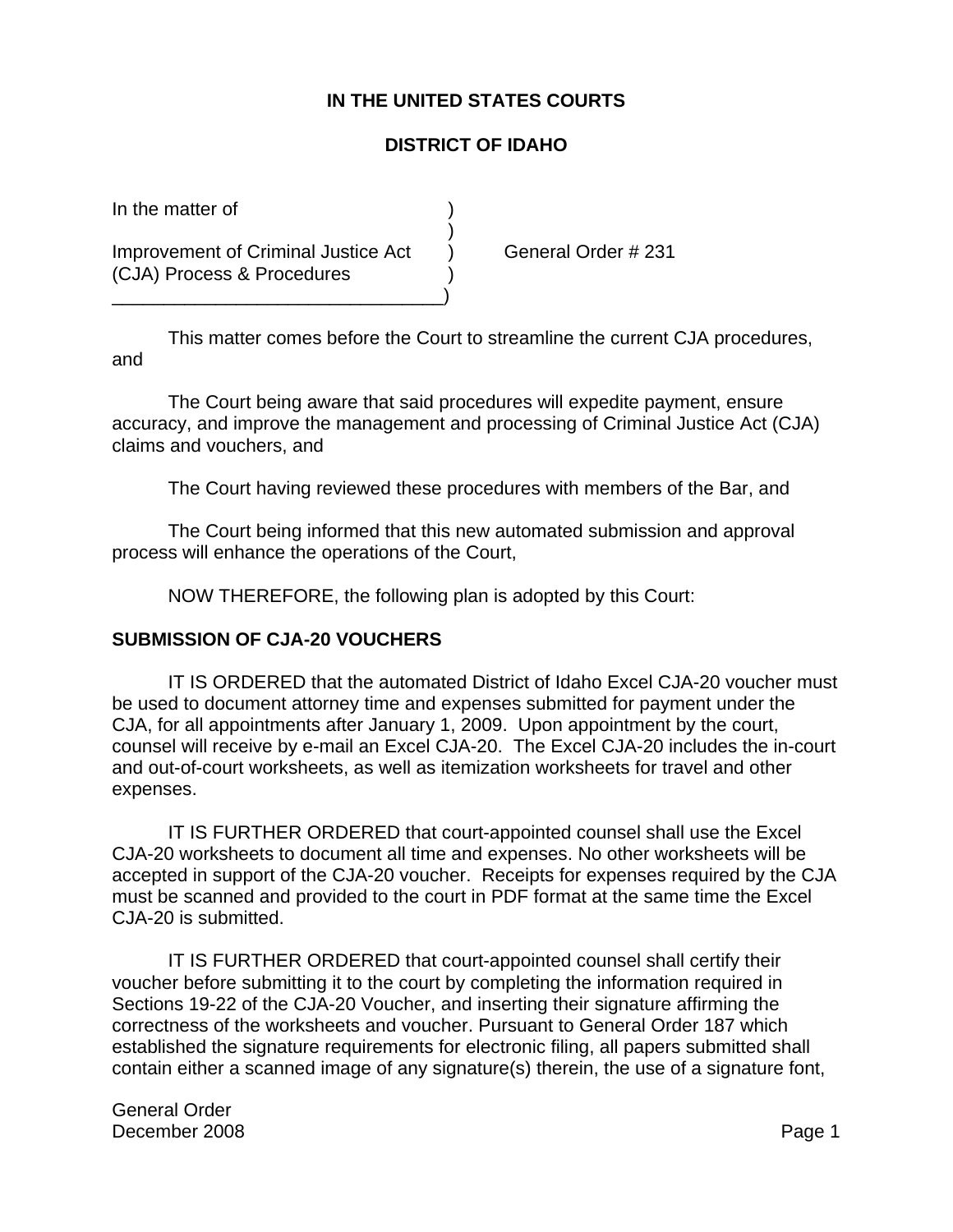## **IN THE UNITED STATES COURTS**

## **DISTRICT OF IDAHO**

In the matter of

Improvement of Criminal Justice Act (a) General Order # 231 (CJA) Process & Procedures

\_\_\_\_\_\_\_\_\_\_\_\_\_\_\_\_\_\_\_\_\_\_\_\_\_\_\_\_\_\_\_\_)

This matter comes before the Court to streamline the current CJA procedures, and

)

The Court being aware that said procedures will expedite payment, ensure accuracy, and improve the management and processing of Criminal Justice Act (CJA) claims and vouchers, and

The Court having reviewed these procedures with members of the Bar, and

The Court being informed that this new automated submission and approval process will enhance the operations of the Court,

NOW THEREFORE, the following plan is adopted by this Court:

## **SUBMISSION OF CJA-20 VOUCHERS**

IT IS ORDERED that the automated District of Idaho Excel CJA-20 voucher must be used to document attorney time and expenses submitted for payment under the CJA, for all appointments after January 1, 2009. Upon appointment by the court, counsel will receive by e-mail an Excel CJA-20. The Excel CJA-20 includes the in-court and out-of-court worksheets, as well as itemization worksheets for travel and other expenses.

IT IS FURTHER ORDERED that court-appointed counsel shall use the Excel CJA-20 worksheets to document all time and expenses. No other worksheets will be accepted in support of the CJA-20 voucher. Receipts for expenses required by the CJA must be scanned and provided to the court in PDF format at the same time the Excel CJA-20 is submitted.

IT IS FURTHER ORDERED that court-appointed counsel shall certify their voucher before submitting it to the court by completing the information required in Sections 19-22 of the CJA-20 Voucher, and inserting their signature affirming the correctness of the worksheets and voucher. Pursuant to General Order 187 which established the signature requirements for electronic filing, all papers submitted shall contain either a scanned image of any signature(s) therein, the use of a signature font,

General Order December 2008 **Page 1**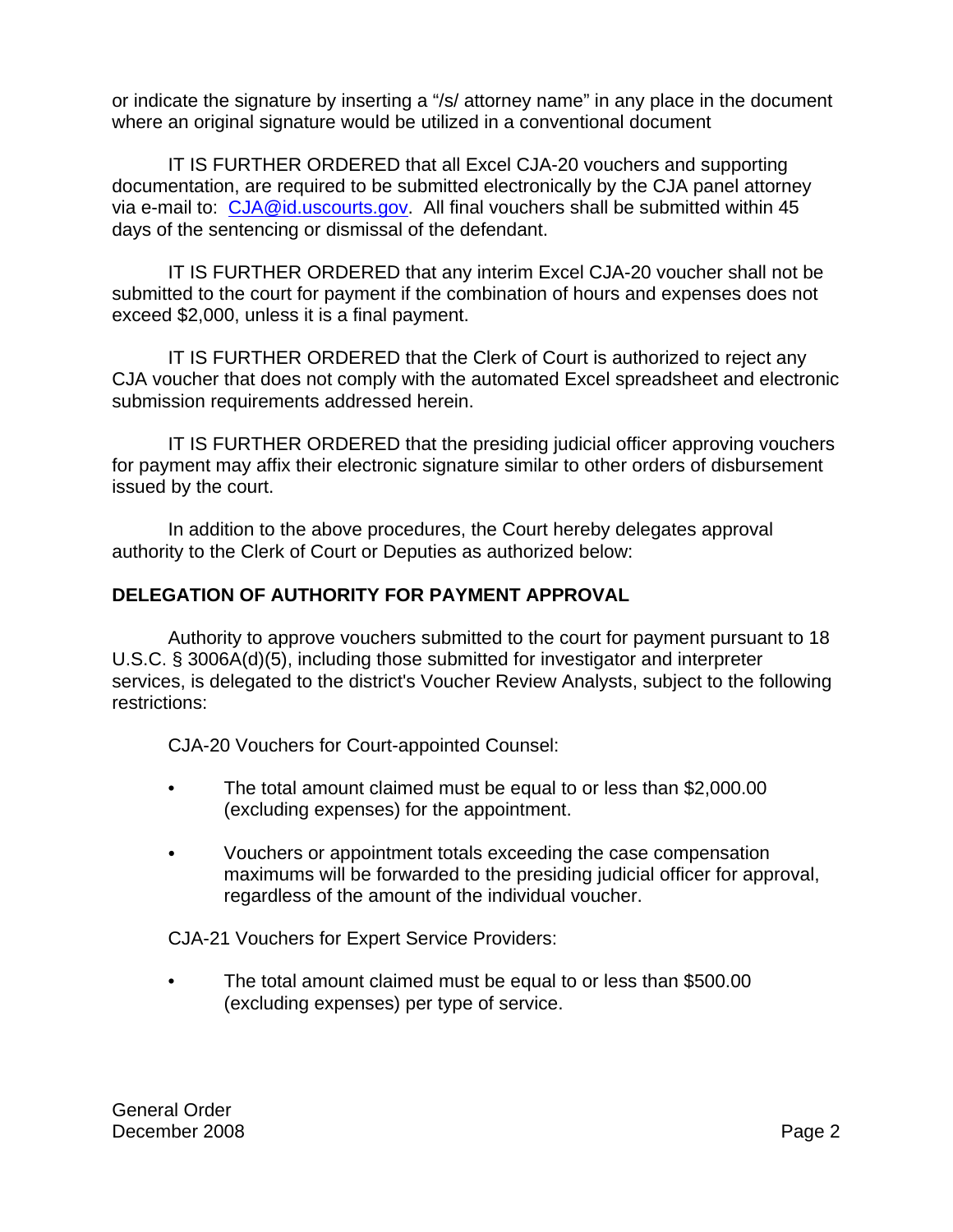or indicate the signature by inserting a "/s/ attorney name" in any place in the document where an original signature would be utilized in a conventional document

IT IS FURTHER ORDERED that all Excel CJA-20 vouchers and supporting documentation, are required to be submitted electronically by the CJA panel attorney via e-mail to: CJA@id.uscourts.gov. All final vouchers shall be submitted within 45 days of the sentencing or dismissal of the defendant.

IT IS FURTHER ORDERED that any interim Excel CJA-20 voucher shall not be submitted to the court for payment if the combination of hours and expenses does not exceed \$2,000, unless it is a final payment.

IT IS FURTHER ORDERED that the Clerk of Court is authorized to reject any CJA voucher that does not comply with the automated Excel spreadsheet and electronic submission requirements addressed herein.

IT IS FURTHER ORDERED that the presiding judicial officer approving vouchers for payment may affix their electronic signature similar to other orders of disbursement issued by the court.

In addition to the above procedures, the Court hereby delegates approval authority to the Clerk of Court or Deputies as authorized below:

## **DELEGATION OF AUTHORITY FOR PAYMENT APPROVAL**

Authority to approve vouchers submitted to the court for payment pursuant to 18 U.S.C. § 3006A(d)(5), including those submitted for investigator and interpreter services, is delegated to the district's Voucher Review Analysts, subject to the following restrictions:

CJA-20 Vouchers for Court-appointed Counsel:

- The total amount claimed must be equal to or less than \$2,000.00 (excluding expenses) for the appointment.
- Vouchers or appointment totals exceeding the case compensation maximums will be forwarded to the presiding judicial officer for approval, regardless of the amount of the individual voucher.

CJA-21 Vouchers for Expert Service Providers:

• The total amount claimed must be equal to or less than \$500.00 (excluding expenses) per type of service.